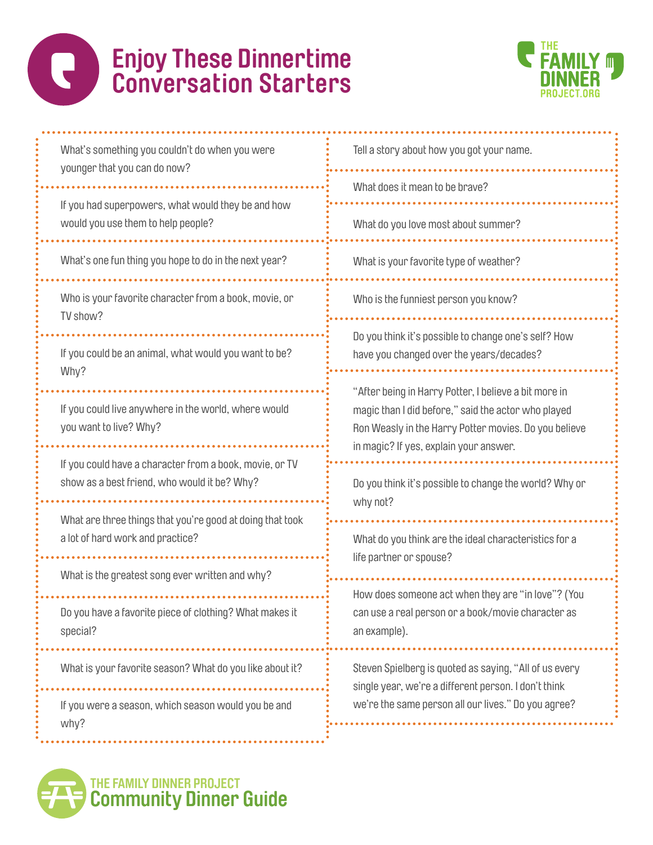#### O **Enjoy These Dinnertime Conversation Starters**



| What's something you couldn't do when you were<br>younger that you can do now?                          | Tell a story about how you got your name.                                                                                                                                                                       |
|---------------------------------------------------------------------------------------------------------|-----------------------------------------------------------------------------------------------------------------------------------------------------------------------------------------------------------------|
|                                                                                                         | What does it mean to be brave?                                                                                                                                                                                  |
| If you had superpowers, what would they be and how<br>would you use them to help people?                | What do you love most about summer?                                                                                                                                                                             |
| What's one fun thing you hope to do in the next year?                                                   | What is your favorite type of weather?                                                                                                                                                                          |
| Who is your favorite character from a book, movie, or<br>TV show?                                       | Who is the funniest person you know?                                                                                                                                                                            |
| If you could be an animal, what would you want to be?<br>Why?                                           | Do you think it's possible to change one's self? How<br>have you changed over the years/decades?                                                                                                                |
| If you could live anywhere in the world, where would<br>you want to live? Why?                          | "After being in Harry Potter, I believe a bit more in<br>magic than I did before," said the actor who played<br>Ron Weasly in the Harry Potter movies. Do you believe<br>in magic? If yes, explain your answer. |
| If you could have a character from a book, movie, or TV<br>show as a best friend, who would it be? Why? | Do you think it's possible to change the world? Why or<br>why not?                                                                                                                                              |
| What are three things that you're good at doing that took<br>a lot of hard work and practice?           | What do you think are the ideal characteristics for a<br>life partner or spouse?                                                                                                                                |
| What is the greatest song ever written and why?                                                         |                                                                                                                                                                                                                 |
| Do you have a favorite piece of clothing? What makes it<br>special?                                     | How does someone act when they are "in love"? (You<br>can use a real person or a book/movie character as<br>an example).                                                                                        |
| What is your favorite season? What do you like about it?                                                | Steven Spielberg is quoted as saying, "All of us every<br>single year, we're a different person. I don't think<br>we're the same person all our lives." Do you agree?                                           |
| If you were a season, which season would you be and<br>why?                                             |                                                                                                                                                                                                                 |

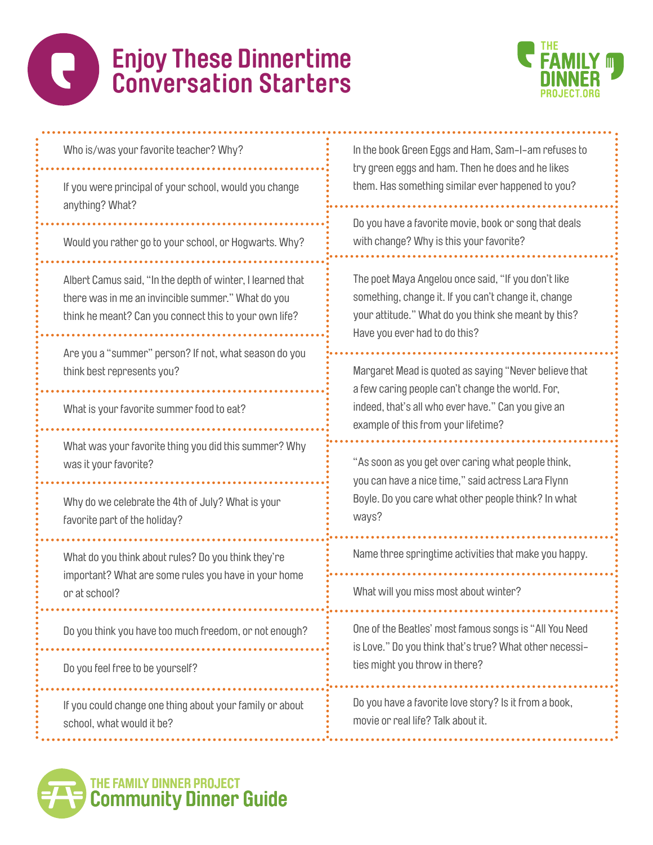



...........

| Who is/was your favorite teacher? Why?                                                                                                                                     | In the book Green Eggs and Ham, Sam-I-am refuses to<br>try green eggs and ham. Then he does and he likes<br>them. Has something similar ever happened to you?                                          |
|----------------------------------------------------------------------------------------------------------------------------------------------------------------------------|--------------------------------------------------------------------------------------------------------------------------------------------------------------------------------------------------------|
| If you were principal of your school, would you change<br>anything? What?                                                                                                  |                                                                                                                                                                                                        |
| Would you rather go to your school, or Hogwarts. Why?                                                                                                                      | Do you have a favorite movie, book or song that deals<br>with change? Why is this your favorite?                                                                                                       |
| Albert Camus said, "In the depth of winter, I learned that<br>there was in me an invincible summer." What do you<br>think he meant? Can you connect this to your own life? | The poet Maya Angelou once said, "If you don't like<br>something, change it. If you can't change it, change<br>your attitude." What do you think she meant by this?<br>Have you ever had to do this?   |
| Are you a "summer" person? If not, what season do you<br>think best represents you?                                                                                        | Margaret Mead is quoted as saying "Never believe that<br>a few caring people can't change the world. For,<br>indeed, that's all who ever have." Can you give an<br>example of this from your lifetime? |
| What is your favorite summer food to eat?                                                                                                                                  |                                                                                                                                                                                                        |
| What was your favorite thing you did this summer? Why<br>was it your favorite?                                                                                             | "As soon as you get over caring what people think,<br>you can have a nice time," said actress Lara Flynn                                                                                               |
| Why do we celebrate the 4th of July? What is your<br>favorite part of the holiday?                                                                                         | Boyle. Do you care what other people think? In what<br>ways?                                                                                                                                           |
| What do you think about rules? Do you think they're<br>important? What are some rules you have in your home<br>or at school?                                               | Name three springtime activities that make you happy.                                                                                                                                                  |
|                                                                                                                                                                            | What will you miss most about winter?                                                                                                                                                                  |
| Do you think you have too much freedom, or not enough?                                                                                                                     | One of the Beatles' most famous songs is "All You Need<br>is Love." Do you think that's true? What other necessi-                                                                                      |
| Do you feel free to be yourself?                                                                                                                                           | ties might you throw in there?                                                                                                                                                                         |
| If you could change one thing about your family or about<br>school, what would it be?                                                                                      | Do you have a favorite love story? Is it from a book,<br>movie or real life? Talk about it.                                                                                                            |
|                                                                                                                                                                            |                                                                                                                                                                                                        |

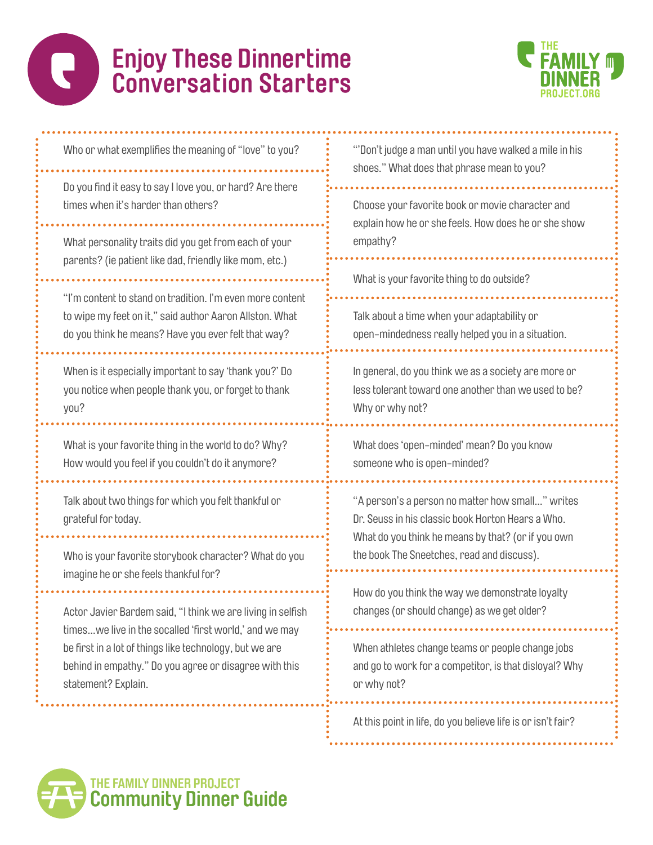# **Enjoy These Dinnertime Conversation Starters**



Who or what exemplifies the meaning of "love" to you?

Do you find it easy to say I love you, or hard? Are there times when it's harder than others?

What personality traits did you get from each of your parents? (ie patient like dad, friendly like mom, etc.)

"I'm content to stand on tradition. I'm even more content to wipe my feet on it," said author Aaron Allston. What do you think he means? Have you ever felt that way?

When is it especially important to say 'thank you?' Do you notice when people thank you, or forget to thank you?

What is your favorite thing in the world to do? Why? How would you feel if you couldn't do it anymore?

Talk about two things for which you felt thankful or grateful for today.

Who is your favorite storybook character? What do you imagine he or she feels thankful for?

Actor Javier Bardem said, "I think we are living in selfish times…we live in the socalled 'first world,' and we may be first in a lot of things like technology, but we are behind in empathy." Do you agree or disagree with this statement? Explain.

"'Don't judge a man until you have walked a mile in his shoes." What does that phrase mean to you?

Choose your favorite book or movie character and explain how he or she feels. How does he or she show empathy?

What is your favorite thing to do outside?

Talk about a time when your adaptability or open-mindedness really helped you in a situation.

In general, do you think we as a society are more or less tolerant toward one another than we used to be? Why or why not?

What does 'open-minded' mean? Do you know someone who is open-minded?

"A person's a person no matter how small…" writes Dr. Seuss in his classic book Horton Hears a Who. What do you think he means by that? (or if you own the book The Sneetches, read and discuss).

How do you think the way we demonstrate loyalty changes (or should change) as we get older?

When athletes change teams or people change jobs and go to work for a competitor, is that disloyal? Why or why not?

At this point in life, do you believe life is or isn't fair?

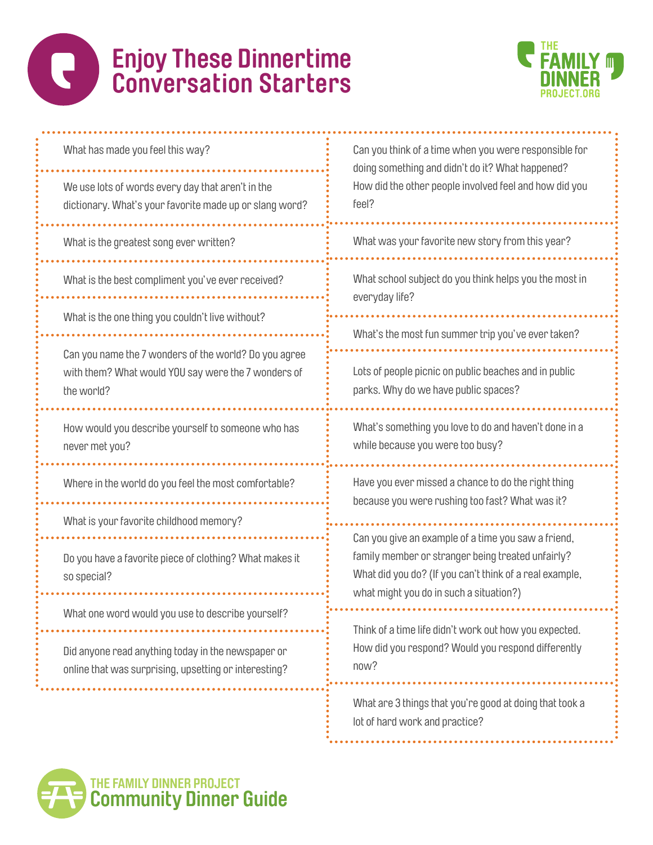## $\bigodot$ **Enjoy These Dinnertime Conversation Starters**



| What has made you feel this way?                                                                                           | Can you think of a time when you were responsible for<br>doing something and didn't do it? What happened?<br>How did the other people involved feel and how did you<br>feel?                                   |
|----------------------------------------------------------------------------------------------------------------------------|----------------------------------------------------------------------------------------------------------------------------------------------------------------------------------------------------------------|
| We use lots of words every day that aren't in the<br>dictionary. What's your favorite made up or slang word?               |                                                                                                                                                                                                                |
| What is the greatest song ever written?                                                                                    | What was your favorite new story from this year?                                                                                                                                                               |
| What is the best compliment you've ever received?                                                                          | What school subject do you think helps you the most in<br>everyday life?                                                                                                                                       |
| What is the one thing you couldn't live without?                                                                           | What's the most fun summer trip you've ever taken?                                                                                                                                                             |
| Can you name the 7 wonders of the world? Do you agree<br>with them? What would YOU say were the 7 wonders of<br>the world? | Lots of people picnic on public beaches and in public<br>parks. Why do we have public spaces?                                                                                                                  |
| How would you describe yourself to someone who has<br>never met you?                                                       | What's something you love to do and haven't done in a<br>while because you were too busy?                                                                                                                      |
| Where in the world do you feel the most comfortable?                                                                       | Have you ever missed a chance to do the right thing<br>because you were rushing too fast? What was it?                                                                                                         |
| What is your favorite childhood memory?                                                                                    | Can you give an example of a time you saw a friend,<br>family member or stranger being treated unfairly?<br>What did you do? (If you can't think of a real example,<br>what might you do in such a situation?) |
| Do you have a favorite piece of clothing? What makes it<br>so special?                                                     |                                                                                                                                                                                                                |
| What one word would you use to describe yourself?                                                                          |                                                                                                                                                                                                                |
| Did anyone read anything today in the newspaper or<br>online that was surprising, upsetting or interesting?                | Think of a time life didn't work out how you expected.<br>How did you respond? Would you respond differently<br>now?                                                                                           |
|                                                                                                                            | What are 3 things that you're good at doing that took a<br>lot of hard work and practice?                                                                                                                      |
| THE FAMILY DINNER PROJECT<br><b>Community Dinner Guide</b>                                                                 |                                                                                                                                                                                                                |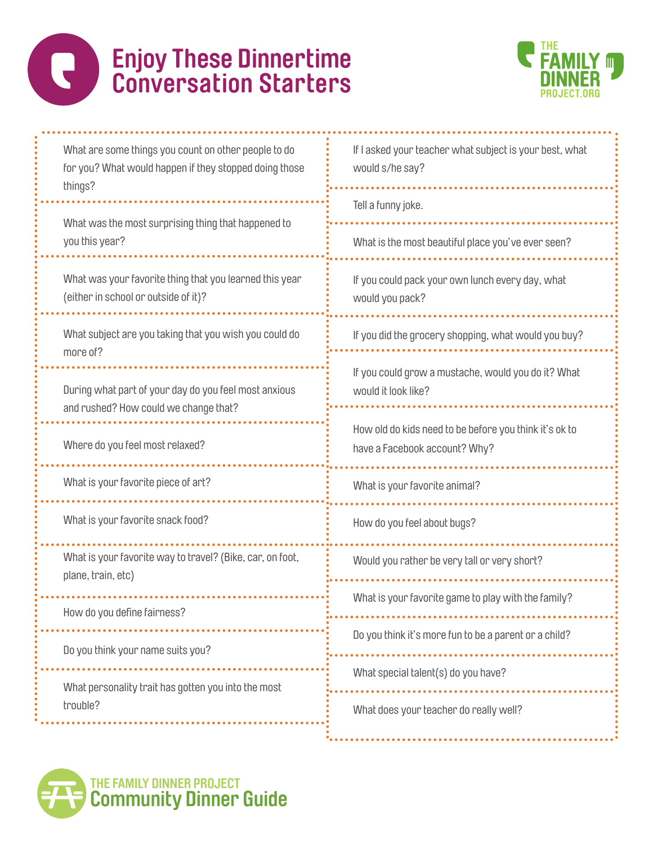### **Enjoy These Dinnertime**   $\bullet$ **Conversation Starters**



| What are some things you count on other people to do<br>for you? What would happen if they stopped doing those<br>things? | If I asked your teacher what subject is your best, what<br>would s/he say?              |
|---------------------------------------------------------------------------------------------------------------------------|-----------------------------------------------------------------------------------------|
|                                                                                                                           | Tell a funny joke.                                                                      |
| What was the most surprising thing that happened to<br>you this year?                                                     | What is the most beautiful place you've ever seen?                                      |
| What was your favorite thing that you learned this year<br>(either in school or outside of it)?                           | If you could pack your own lunch every day, what<br>would you pack?                     |
| What subject are you taking that you wish you could do<br>more of?                                                        | If you did the grocery shopping, what would you buy?                                    |
| During what part of your day do you feel most anxious<br>and rushed? How could we change that?                            | If you could grow a mustache, would you do it? What<br>would it look like?              |
| Where do you feel most relaxed?                                                                                           | How old do kids need to be before you think it's ok to<br>have a Facebook account? Why? |
| What is your favorite piece of art?                                                                                       | What is your favorite animal?                                                           |
| What is your favorite snack food?                                                                                         | How do you feel about bugs?                                                             |
| What is your favorite way to travel? (Bike, car, on foot,<br>plane, train, etc)                                           | Would you rather be very tall or very short?                                            |
| How do you define fairness?                                                                                               | What is your favorite game to play with the family?                                     |
| Do you think your name suits you?                                                                                         | Do you think it's more fun to be a parent or a child?                                   |
| What personality trait has gotten you into the most<br>trouble?                                                           | What special talent(s) do you have?                                                     |
|                                                                                                                           | What does your teacher do really well?                                                  |